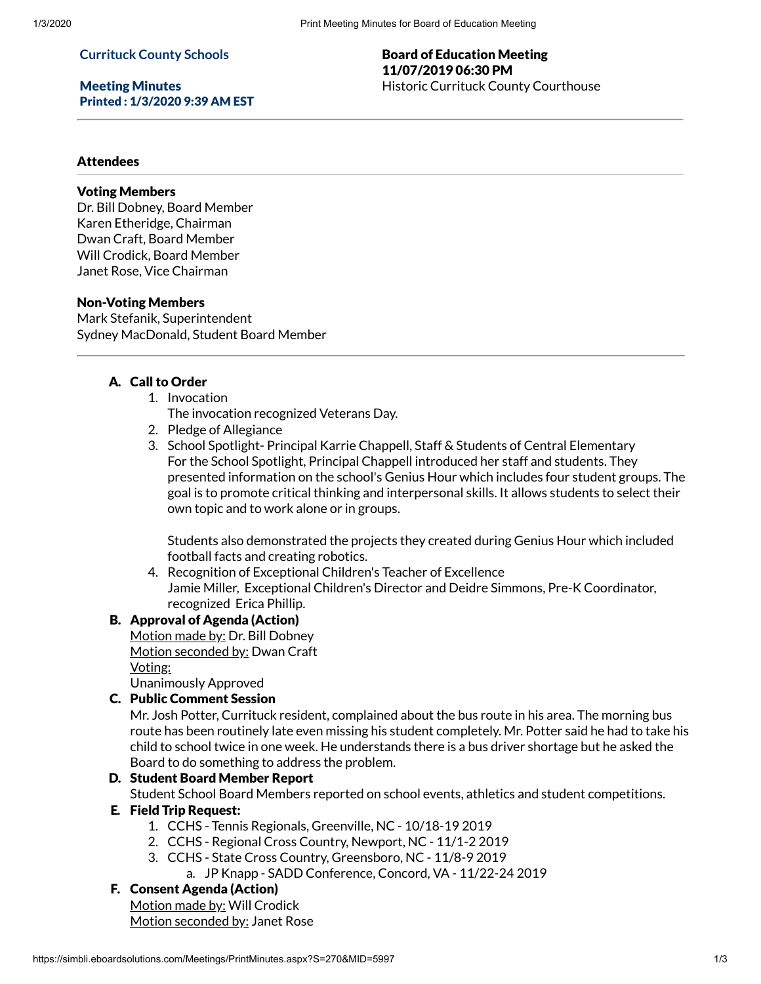### **Currituck County Schools**

Meeting Minutes Printed : 1/3/2020 9:39 AM EST

### Board of Education Meeting 11/07/2019 06:30 PM Historic Currituck County Courthouse

### Attendees

### Voting Members

Dr. Bill Dobney, Board Member Karen Etheridge, Chairman Dwan Craft, Board Member Will Crodick, Board Member Janet Rose, Vice Chairman

### Non-Voting Members

Mark Stefanik, Superintendent Sydney MacDonald, Student Board Member

## A. Call to Order

- 1. Invocation
	- The invocation recognized Veterans Day.
- 2. Pledge of Allegiance
- 3. School Spotlight- Principal Karrie Chappell, Staff & Students of Central Elementary For the School Spotlight, Principal Chappell introduced her staff and students. They presented information on the school's Genius Hour which includes four student groups. The goal is to promote critical thinking and interpersonal skills. It allows students to select their own topic and to work alone or in groups.

Students also demonstrated the projects they created during Genius Hour which included football facts and creating robotics.

4. Recognition of Exceptional Children's Teacher of Excellence Jamie Miller, Exceptional Children's Director and Deidre Simmons, Pre-K Coordinator, recognized Erica Phillip.

## B. Approval of Agenda (Action)

Motion made by: Dr. Bill Dobney Motion seconded by: Dwan Craft Voting:

Unanimously Approved

## C. Public Comment Session

Mr. Josh Potter, Currituck resident, complained about the bus route in his area. The morning bus route has been routinely late even missing his student completely. Mr. Potter said he had to take his child to school twice in one week. He understands there is a bus driver shortage but he asked the Board to do something to address the problem.

# D. Student Board Member Report

Student School Board Members reported on school events, athletics and student competitions.

### E. Field Trip Request:

- 1. CCHS Tennis Regionals, Greenville, NC 10/18-19 2019
- 2. CCHS Regional Cross Country, Newport, NC 11/1-2 2019
- 3. CCHS State Cross Country, Greensboro, NC 11/8-9 2019
	- a. JP Knapp SADD Conference, Concord, VA 11/22-24 2019

# F. Consent Agenda (Action)

Motion made by: Will Crodick Motion seconded by: Janet Rose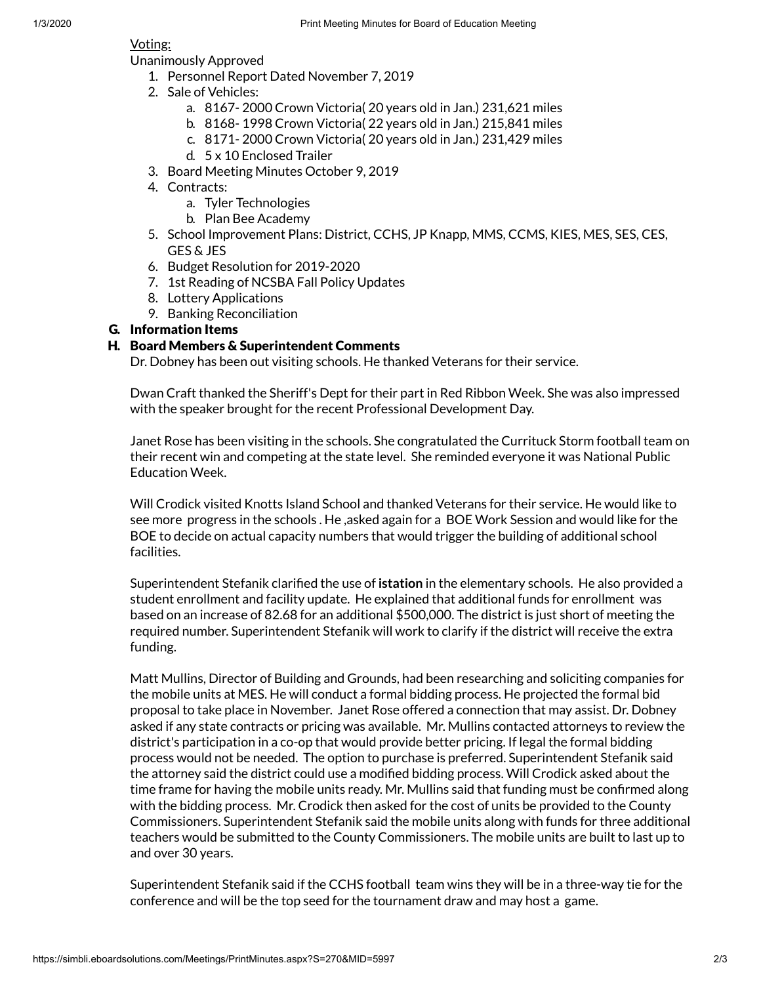## Voting:

- Unanimously Approved
	- 1. Personnel Report Dated November 7, 2019
	- 2. Sale of Vehicles:
		- a. 8167- 2000 Crown Victoria( 20 years old in Jan.) 231,621 miles
		- b. 8168- 1998 Crown Victoria( 22 years old in Jan.) 215,841 miles
		- c. 8171- 2000 Crown Victoria( 20 years old in Jan.) 231,429 miles
		- d. 5 x 10 Enclosed Trailer
	- 3. Board Meeting Minutes October 9, 2019
	- 4. Contracts:
		- a. Tyler Technologies
		- b. Plan Bee Academy
	- 5. School Improvement Plans: District, CCHS, JP Knapp, MMS, CCMS, KIES, MES, SES, CES, GES & JES
	- 6. Budget Resolution for 2019-2020
	- 7. 1st Reading of NCSBA Fall Policy Updates
	- 8. Lottery Applications
	- 9. Banking Reconciliation

## G. Information Items

## H. Board Members & Superintendent Comments

Dr. Dobney has been out visiting schools. He thanked Veterans for their service.

Dwan Craft thanked the Sheriff's Dept for their part in Red Ribbon Week. She was also impressed with the speaker brought for the recent Professional Development Day.

Janet Rose has been visiting in the schools. She congratulated the Currituck Storm football team on their recent win and competing at the state level. She reminded everyone it was National Public Education Week.

Will Crodick visited Knotts Island School and thanked Veterans for their service. He would like to see more progress in the schools . He ,asked again for a BOE Work Session and would like for the BOE to decide on actual capacity numbers that would trigger the building of additional school facilities.

Superintendent Stefanik clarified the use of **istation** in the elementary schools. He also provided a student enrollment and facility update. He explained that additional funds for enrollment was based on an increase of 82.68 for an additional \$500,000. The district is just short of meeting the required number. Superintendent Stefanik will work to clarify if the district will receive the extra funding.

Matt Mullins, Director of Building and Grounds, had been researching and soliciting companies for the mobile units at MES. He will conduct a formal bidding process. He projected the formal bid proposal to take place in November. Janet Rose offered a connection that may assist. Dr. Dobney asked if any state contracts or pricing was available. Mr. Mullins contacted attorneys to review the district's participation in a co-op that would provide better pricing. If legal the formal bidding process would not be needed. The option to purchase is preferred. Superintendent Stefanik said the attorney said the district could use a modified bidding process. Will Crodick asked about the time frame for having the mobile units ready. Mr. Mullins said that funding must be confirmed along with the bidding process. Mr. Crodick then asked for the cost of units be provided to the County Commissioners. Superintendent Stefanik said the mobile units along with funds for three additional teachers would be submitted to the County Commissioners. The mobile units are built to last up to and over 30 years.

Superintendent Stefanik said if the CCHS football team wins they will be in a three-way tie for the conference and will be the top seed for the tournament draw and may host a game.